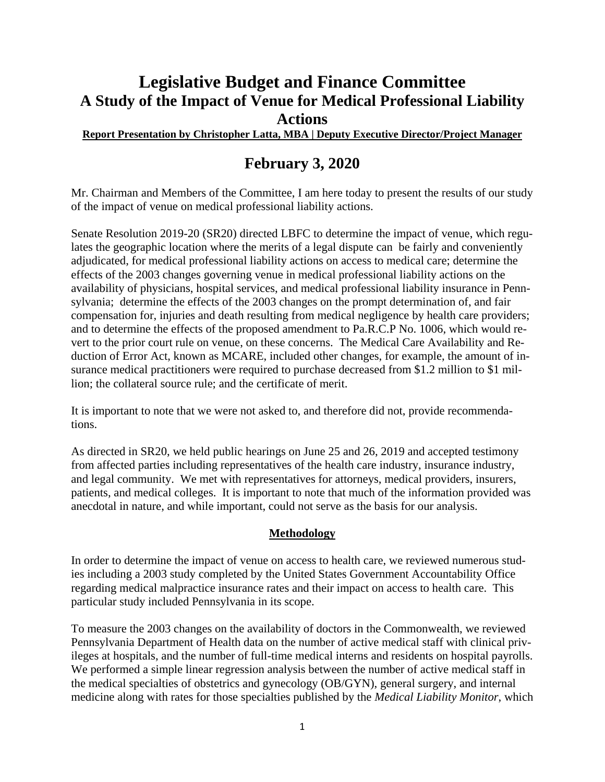# **Legislative Budget and Finance Committee A Study of the Impact of Venue for Medical Professional Liability Actions**

#### **Report Presentation by Christopher Latta, MBA | Deputy Executive Director/Project Manager**

# **February 3, 2020**

Mr. Chairman and Members of the Committee, I am here today to present the results of our study of the impact of venue on medical professional liability actions.

Senate Resolution 2019-20 (SR20) directed LBFC to determine the impact of venue, which regulates the geographic location where the merits of a legal dispute can be fairly and conveniently adjudicated, for medical professional liability actions on access to medical care; determine the effects of the 2003 changes governing venue in medical professional liability actions on the availability of physicians, hospital services, and medical professional liability insurance in Pennsylvania; determine the effects of the 2003 changes on the prompt determination of, and fair compensation for, injuries and death resulting from medical negligence by health care providers; and to determine the effects of the proposed amendment to Pa.R.C.P No. 1006, which would revert to the prior court rule on venue, on these concerns. The Medical Care Availability and Reduction of Error Act, known as MCARE, included other changes, for example, the amount of insurance medical practitioners were required to purchase decreased from \$1.2 million to \$1 million; the collateral source rule; and the certificate of merit.

It is important to note that we were not asked to, and therefore did not, provide recommendations.

As directed in SR20, we held public hearings on June 25 and 26, 2019 and accepted testimony from affected parties including representatives of the health care industry, insurance industry, and legal community. We met with representatives for attorneys, medical providers, insurers, patients, and medical colleges. It is important to note that much of the information provided was anecdotal in nature, and while important, could not serve as the basis for our analysis.

#### **Methodology**

In order to determine the impact of venue on access to health care, we reviewed numerous studies including a 2003 study completed by the United States Government Accountability Office regarding medical malpractice insurance rates and their impact on access to health care. This particular study included Pennsylvania in its scope.

To measure the 2003 changes on the availability of doctors in the Commonwealth, we reviewed Pennsylvania Department of Health data on the number of active medical staff with clinical privileges at hospitals, and the number of full-time medical interns and residents on hospital payrolls. We performed a simple linear regression analysis between the number of active medical staff in the medical specialties of obstetrics and gynecology (OB/GYN), general surgery, and internal medicine along with rates for those specialties published by the *Medical Liability Monitor*, which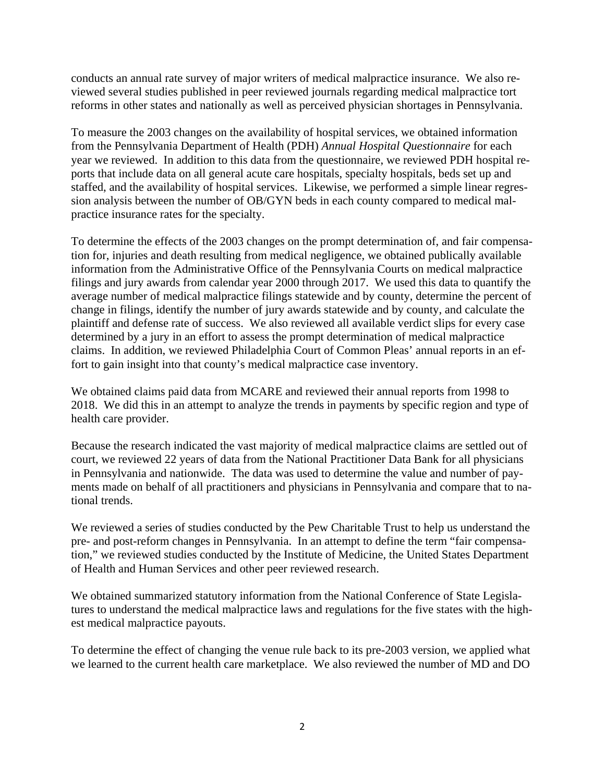conducts an annual rate survey of major writers of medical malpractice insurance. We also reviewed several studies published in peer reviewed journals regarding medical malpractice tort reforms in other states and nationally as well as perceived physician shortages in Pennsylvania.

To measure the 2003 changes on the availability of hospital services, we obtained information from the Pennsylvania Department of Health (PDH) *Annual Hospital Questionnaire* for each year we reviewed. In addition to this data from the questionnaire, we reviewed PDH hospital reports that include data on all general acute care hospitals, specialty hospitals, beds set up and staffed, and the availability of hospital services. Likewise, we performed a simple linear regression analysis between the number of OB/GYN beds in each county compared to medical malpractice insurance rates for the specialty.

To determine the effects of the 2003 changes on the prompt determination of, and fair compensation for, injuries and death resulting from medical negligence, we obtained publically available information from the Administrative Office of the Pennsylvania Courts on medical malpractice filings and jury awards from calendar year 2000 through 2017. We used this data to quantify the average number of medical malpractice filings statewide and by county, determine the percent of change in filings, identify the number of jury awards statewide and by county, and calculate the plaintiff and defense rate of success. We also reviewed all available verdict slips for every case determined by a jury in an effort to assess the prompt determination of medical malpractice claims. In addition, we reviewed Philadelphia Court of Common Pleas' annual reports in an effort to gain insight into that county's medical malpractice case inventory.

We obtained claims paid data from MCARE and reviewed their annual reports from 1998 to 2018. We did this in an attempt to analyze the trends in payments by specific region and type of health care provider.

Because the research indicated the vast majority of medical malpractice claims are settled out of court, we reviewed 22 years of data from the National Practitioner Data Bank for all physicians in Pennsylvania and nationwide. The data was used to determine the value and number of payments made on behalf of all practitioners and physicians in Pennsylvania and compare that to national trends.

We reviewed a series of studies conducted by the Pew Charitable Trust to help us understand the pre- and post-reform changes in Pennsylvania. In an attempt to define the term "fair compensation," we reviewed studies conducted by the Institute of Medicine, the United States Department of Health and Human Services and other peer reviewed research.

We obtained summarized statutory information from the National Conference of State Legislatures to understand the medical malpractice laws and regulations for the five states with the highest medical malpractice payouts.

To determine the effect of changing the venue rule back to its pre-2003 version, we applied what we learned to the current health care marketplace. We also reviewed the number of MD and DO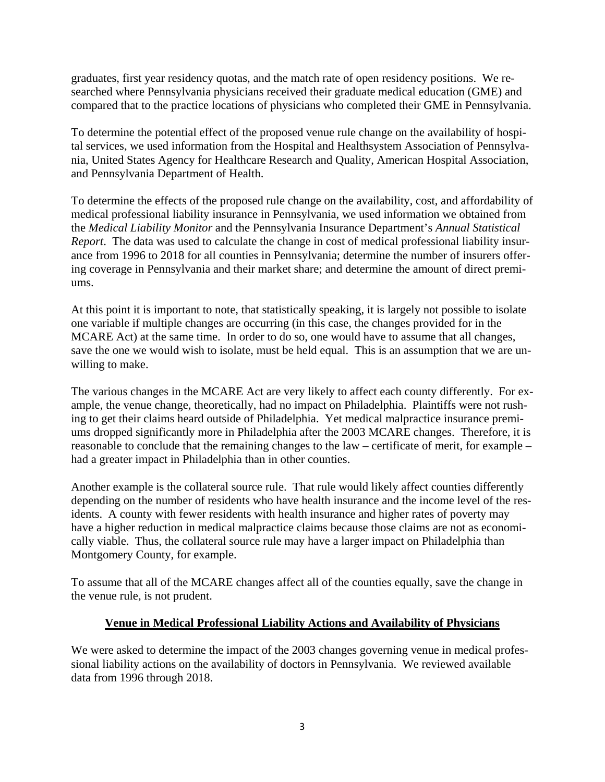graduates, first year residency quotas, and the match rate of open residency positions. We researched where Pennsylvania physicians received their graduate medical education (GME) and compared that to the practice locations of physicians who completed their GME in Pennsylvania.

To determine the potential effect of the proposed venue rule change on the availability of hospital services, we used information from the Hospital and Healthsystem Association of Pennsylvania, United States Agency for Healthcare Research and Quality, American Hospital Association, and Pennsylvania Department of Health.

To determine the effects of the proposed rule change on the availability, cost, and affordability of medical professional liability insurance in Pennsylvania, we used information we obtained from the *Medical Liability Monitor* and the Pennsylvania Insurance Department's *Annual Statistical Report*. The data was used to calculate the change in cost of medical professional liability insurance from 1996 to 2018 for all counties in Pennsylvania; determine the number of insurers offering coverage in Pennsylvania and their market share; and determine the amount of direct premiums.

At this point it is important to note, that statistically speaking, it is largely not possible to isolate one variable if multiple changes are occurring (in this case, the changes provided for in the MCARE Act) at the same time. In order to do so, one would have to assume that all changes, save the one we would wish to isolate, must be held equal. This is an assumption that we are unwilling to make.

The various changes in the MCARE Act are very likely to affect each county differently. For example, the venue change, theoretically, had no impact on Philadelphia. Plaintiffs were not rushing to get their claims heard outside of Philadelphia. Yet medical malpractice insurance premiums dropped significantly more in Philadelphia after the 2003 MCARE changes. Therefore, it is reasonable to conclude that the remaining changes to the law – certificate of merit, for example – had a greater impact in Philadelphia than in other counties.

Another example is the collateral source rule. That rule would likely affect counties differently depending on the number of residents who have health insurance and the income level of the residents. A county with fewer residents with health insurance and higher rates of poverty may have a higher reduction in medical malpractice claims because those claims are not as economically viable. Thus, the collateral source rule may have a larger impact on Philadelphia than Montgomery County, for example.

To assume that all of the MCARE changes affect all of the counties equally, save the change in the venue rule, is not prudent.

# **Venue in Medical Professional Liability Actions and Availability of Physicians**

We were asked to determine the impact of the 2003 changes governing venue in medical professional liability actions on the availability of doctors in Pennsylvania. We reviewed available data from 1996 through 2018.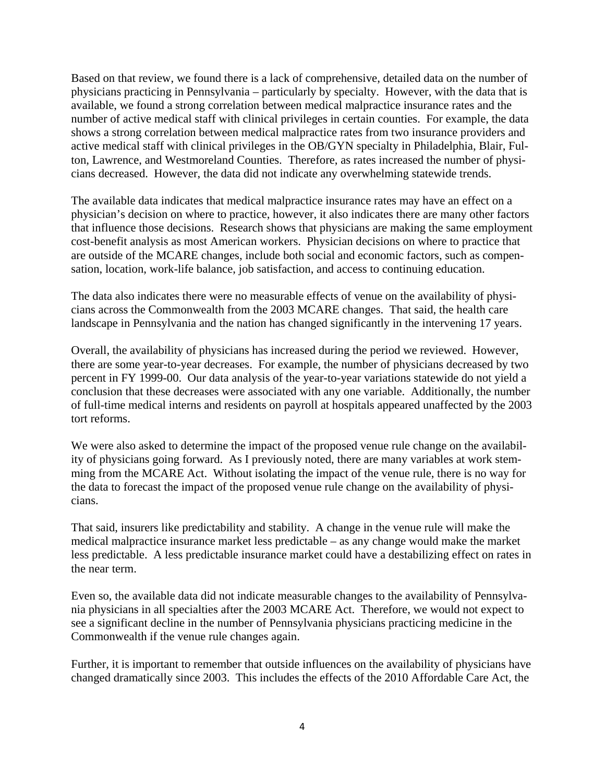Based on that review, we found there is a lack of comprehensive, detailed data on the number of physicians practicing in Pennsylvania – particularly by specialty. However, with the data that is available, we found a strong correlation between medical malpractice insurance rates and the number of active medical staff with clinical privileges in certain counties. For example, the data shows a strong correlation between medical malpractice rates from two insurance providers and active medical staff with clinical privileges in the OB/GYN specialty in Philadelphia, Blair, Fulton, Lawrence, and Westmoreland Counties. Therefore, as rates increased the number of physicians decreased. However, the data did not indicate any overwhelming statewide trends.

The available data indicates that medical malpractice insurance rates may have an effect on a physician's decision on where to practice, however, it also indicates there are many other factors that influence those decisions. Research shows that physicians are making the same employment cost-benefit analysis as most American workers. Physician decisions on where to practice that are outside of the MCARE changes, include both social and economic factors, such as compensation, location, work-life balance, job satisfaction, and access to continuing education.

The data also indicates there were no measurable effects of venue on the availability of physicians across the Commonwealth from the 2003 MCARE changes. That said, the health care landscape in Pennsylvania and the nation has changed significantly in the intervening 17 years.

Overall, the availability of physicians has increased during the period we reviewed. However, there are some year-to-year decreases. For example, the number of physicians decreased by two percent in FY 1999-00. Our data analysis of the year-to-year variations statewide do not yield a conclusion that these decreases were associated with any one variable. Additionally, the number of full-time medical interns and residents on payroll at hospitals appeared unaffected by the 2003 tort reforms.

We were also asked to determine the impact of the proposed venue rule change on the availability of physicians going forward. As I previously noted, there are many variables at work stemming from the MCARE Act. Without isolating the impact of the venue rule, there is no way for the data to forecast the impact of the proposed venue rule change on the availability of physicians.

That said, insurers like predictability and stability. A change in the venue rule will make the medical malpractice insurance market less predictable – as any change would make the market less predictable. A less predictable insurance market could have a destabilizing effect on rates in the near term.

Even so, the available data did not indicate measurable changes to the availability of Pennsylvania physicians in all specialties after the 2003 MCARE Act. Therefore, we would not expect to see a significant decline in the number of Pennsylvania physicians practicing medicine in the Commonwealth if the venue rule changes again.

Further, it is important to remember that outside influences on the availability of physicians have changed dramatically since 2003. This includes the effects of the 2010 Affordable Care Act, the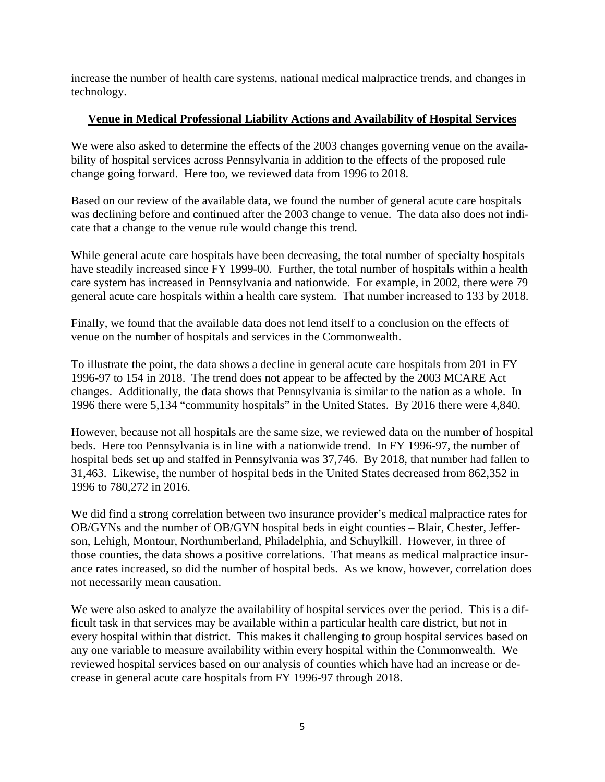increase the number of health care systems, national medical malpractice trends, and changes in technology.

# **Venue in Medical Professional Liability Actions and Availability of Hospital Services**

We were also asked to determine the effects of the 2003 changes governing venue on the availability of hospital services across Pennsylvania in addition to the effects of the proposed rule change going forward. Here too, we reviewed data from 1996 to 2018.

Based on our review of the available data, we found the number of general acute care hospitals was declining before and continued after the 2003 change to venue. The data also does not indicate that a change to the venue rule would change this trend.

While general acute care hospitals have been decreasing, the total number of specialty hospitals have steadily increased since FY 1999-00. Further, the total number of hospitals within a health care system has increased in Pennsylvania and nationwide. For example, in 2002, there were 79 general acute care hospitals within a health care system. That number increased to 133 by 2018.

Finally, we found that the available data does not lend itself to a conclusion on the effects of venue on the number of hospitals and services in the Commonwealth.

To illustrate the point, the data shows a decline in general acute care hospitals from 201 in FY 1996-97 to 154 in 2018. The trend does not appear to be affected by the 2003 MCARE Act changes. Additionally, the data shows that Pennsylvania is similar to the nation as a whole. In 1996 there were 5,134 "community hospitals" in the United States. By 2016 there were 4,840.

However, because not all hospitals are the same size, we reviewed data on the number of hospital beds. Here too Pennsylvania is in line with a nationwide trend. In FY 1996-97, the number of hospital beds set up and staffed in Pennsylvania was 37,746. By 2018, that number had fallen to 31,463. Likewise, the number of hospital beds in the United States decreased from 862,352 in 1996 to 780,272 in 2016.

We did find a strong correlation between two insurance provider's medical malpractice rates for OB/GYNs and the number of OB/GYN hospital beds in eight counties – Blair, Chester, Jefferson, Lehigh, Montour, Northumberland, Philadelphia, and Schuylkill. However, in three of those counties, the data shows a positive correlations. That means as medical malpractice insurance rates increased, so did the number of hospital beds. As we know, however, correlation does not necessarily mean causation.

We were also asked to analyze the availability of hospital services over the period. This is a difficult task in that services may be available within a particular health care district, but not in every hospital within that district. This makes it challenging to group hospital services based on any one variable to measure availability within every hospital within the Commonwealth. We reviewed hospital services based on our analysis of counties which have had an increase or decrease in general acute care hospitals from FY 1996-97 through 2018.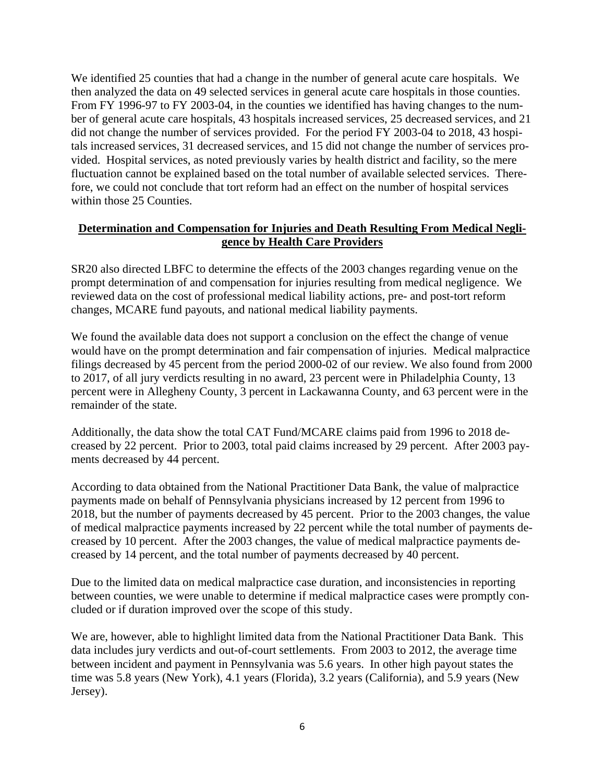We identified 25 counties that had a change in the number of general acute care hospitals. We then analyzed the data on 49 selected services in general acute care hospitals in those counties. From FY 1996-97 to FY 2003-04, in the counties we identified has having changes to the number of general acute care hospitals, 43 hospitals increased services, 25 decreased services, and 21 did not change the number of services provided. For the period FY 2003-04 to 2018, 43 hospitals increased services, 31 decreased services, and 15 did not change the number of services provided. Hospital services, as noted previously varies by health district and facility, so the mere fluctuation cannot be explained based on the total number of available selected services. Therefore, we could not conclude that tort reform had an effect on the number of hospital services within those 25 Counties.

## **Determination and Compensation for Injuries and Death Resulting From Medical Negligence by Health Care Providers**

SR20 also directed LBFC to determine the effects of the 2003 changes regarding venue on the prompt determination of and compensation for injuries resulting from medical negligence. We reviewed data on the cost of professional medical liability actions, pre- and post-tort reform changes, MCARE fund payouts, and national medical liability payments.

We found the available data does not support a conclusion on the effect the change of venue would have on the prompt determination and fair compensation of injuries. Medical malpractice filings decreased by 45 percent from the period 2000-02 of our review. We also found from 2000 to 2017, of all jury verdicts resulting in no award, 23 percent were in Philadelphia County, 13 percent were in Allegheny County, 3 percent in Lackawanna County, and 63 percent were in the remainder of the state.

Additionally, the data show the total CAT Fund/MCARE claims paid from 1996 to 2018 decreased by 22 percent. Prior to 2003, total paid claims increased by 29 percent. After 2003 payments decreased by 44 percent.

According to data obtained from the National Practitioner Data Bank, the value of malpractice payments made on behalf of Pennsylvania physicians increased by 12 percent from 1996 to 2018, but the number of payments decreased by 45 percent. Prior to the 2003 changes, the value of medical malpractice payments increased by 22 percent while the total number of payments decreased by 10 percent. After the 2003 changes, the value of medical malpractice payments decreased by 14 percent, and the total number of payments decreased by 40 percent.

Due to the limited data on medical malpractice case duration, and inconsistencies in reporting between counties, we were unable to determine if medical malpractice cases were promptly concluded or if duration improved over the scope of this study.

We are, however, able to highlight limited data from the National Practitioner Data Bank. This data includes jury verdicts and out-of-court settlements. From 2003 to 2012, the average time between incident and payment in Pennsylvania was 5.6 years. In other high payout states the time was 5.8 years (New York), 4.1 years (Florida), 3.2 years (California), and 5.9 years (New Jersey).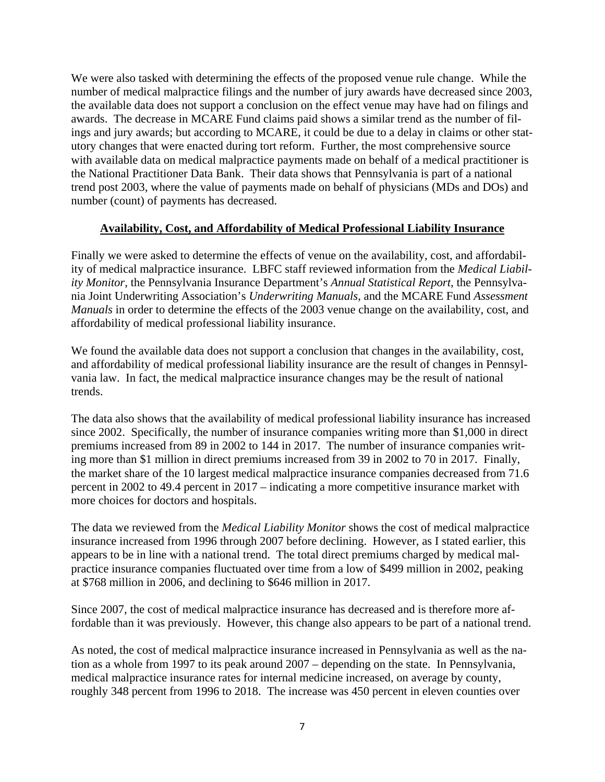We were also tasked with determining the effects of the proposed venue rule change. While the number of medical malpractice filings and the number of jury awards have decreased since 2003, the available data does not support a conclusion on the effect venue may have had on filings and awards. The decrease in MCARE Fund claims paid shows a similar trend as the number of filings and jury awards; but according to MCARE, it could be due to a delay in claims or other statutory changes that were enacted during tort reform. Further, the most comprehensive source with available data on medical malpractice payments made on behalf of a medical practitioner is the National Practitioner Data Bank. Their data shows that Pennsylvania is part of a national trend post 2003, where the value of payments made on behalf of physicians (MDs and DOs) and number (count) of payments has decreased.

## **Availability, Cost, and Affordability of Medical Professional Liability Insurance**

Finally we were asked to determine the effects of venue on the availability, cost, and affordability of medical malpractice insurance. LBFC staff reviewed information from the *Medical Liability Monitor*, the Pennsylvania Insurance Department's *Annual Statistical Report*, the Pennsylvania Joint Underwriting Association's *Underwriting Manuals*, and the MCARE Fund *Assessment Manuals* in order to determine the effects of the 2003 venue change on the availability, cost, and affordability of medical professional liability insurance.

We found the available data does not support a conclusion that changes in the availability, cost, and affordability of medical professional liability insurance are the result of changes in Pennsylvania law. In fact, the medical malpractice insurance changes may be the result of national trends.

The data also shows that the availability of medical professional liability insurance has increased since 2002. Specifically, the number of insurance companies writing more than \$1,000 in direct premiums increased from 89 in 2002 to 144 in 2017. The number of insurance companies writing more than \$1 million in direct premiums increased from 39 in 2002 to 70 in 2017. Finally, the market share of the 10 largest medical malpractice insurance companies decreased from 71.6 percent in 2002 to 49.4 percent in 2017 – indicating a more competitive insurance market with more choices for doctors and hospitals.

The data we reviewed from the *Medical Liability Monitor* shows the cost of medical malpractice insurance increased from 1996 through 2007 before declining. However, as I stated earlier, this appears to be in line with a national trend. The total direct premiums charged by medical malpractice insurance companies fluctuated over time from a low of \$499 million in 2002, peaking at \$768 million in 2006, and declining to \$646 million in 2017.

Since 2007, the cost of medical malpractice insurance has decreased and is therefore more affordable than it was previously. However, this change also appears to be part of a national trend.

As noted, the cost of medical malpractice insurance increased in Pennsylvania as well as the nation as a whole from 1997 to its peak around 2007 – depending on the state. In Pennsylvania, medical malpractice insurance rates for internal medicine increased, on average by county, roughly 348 percent from 1996 to 2018. The increase was 450 percent in eleven counties over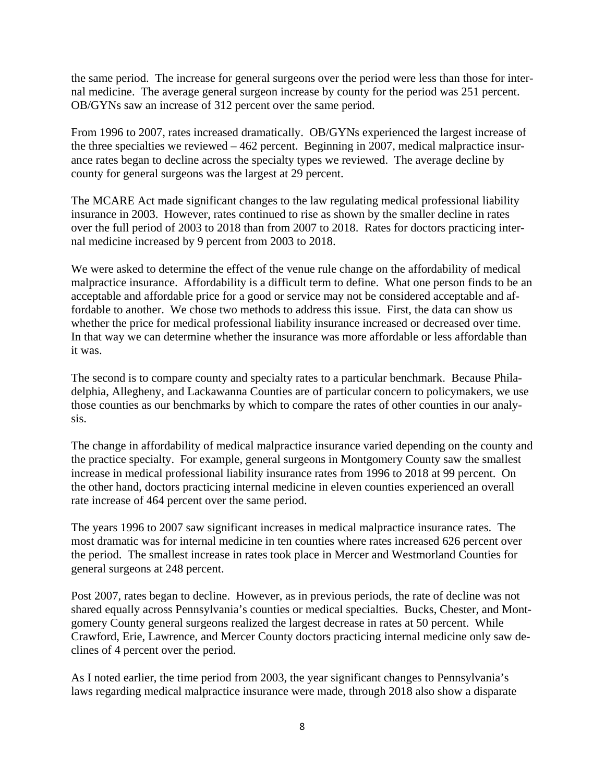the same period. The increase for general surgeons over the period were less than those for internal medicine. The average general surgeon increase by county for the period was 251 percent. OB/GYNs saw an increase of 312 percent over the same period.

From 1996 to 2007, rates increased dramatically. OB/GYNs experienced the largest increase of the three specialties we reviewed – 462 percent. Beginning in 2007, medical malpractice insurance rates began to decline across the specialty types we reviewed. The average decline by county for general surgeons was the largest at 29 percent.

The MCARE Act made significant changes to the law regulating medical professional liability insurance in 2003. However, rates continued to rise as shown by the smaller decline in rates over the full period of 2003 to 2018 than from 2007 to 2018. Rates for doctors practicing internal medicine increased by 9 percent from 2003 to 2018.

We were asked to determine the effect of the venue rule change on the affordability of medical malpractice insurance. Affordability is a difficult term to define. What one person finds to be an acceptable and affordable price for a good or service may not be considered acceptable and affordable to another. We chose two methods to address this issue. First, the data can show us whether the price for medical professional liability insurance increased or decreased over time. In that way we can determine whether the insurance was more affordable or less affordable than it was.

The second is to compare county and specialty rates to a particular benchmark. Because Philadelphia, Allegheny, and Lackawanna Counties are of particular concern to policymakers, we use those counties as our benchmarks by which to compare the rates of other counties in our analysis.

The change in affordability of medical malpractice insurance varied depending on the county and the practice specialty. For example, general surgeons in Montgomery County saw the smallest increase in medical professional liability insurance rates from 1996 to 2018 at 99 percent. On the other hand, doctors practicing internal medicine in eleven counties experienced an overall rate increase of 464 percent over the same period.

The years 1996 to 2007 saw significant increases in medical malpractice insurance rates. The most dramatic was for internal medicine in ten counties where rates increased 626 percent over the period. The smallest increase in rates took place in Mercer and Westmorland Counties for general surgeons at 248 percent.

Post 2007, rates began to decline. However, as in previous periods, the rate of decline was not shared equally across Pennsylvania's counties or medical specialties. Bucks, Chester, and Montgomery County general surgeons realized the largest decrease in rates at 50 percent. While Crawford, Erie, Lawrence, and Mercer County doctors practicing internal medicine only saw declines of 4 percent over the period.

As I noted earlier, the time period from 2003, the year significant changes to Pennsylvania's laws regarding medical malpractice insurance were made, through 2018 also show a disparate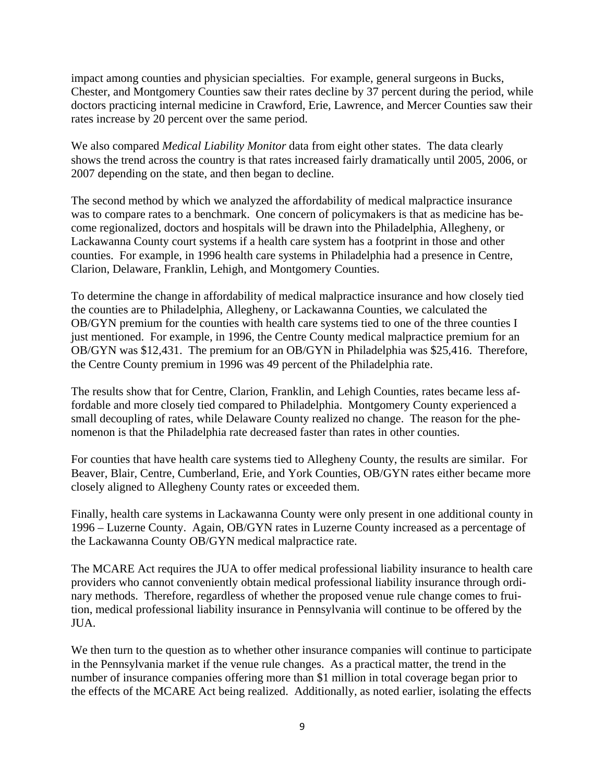impact among counties and physician specialties. For example, general surgeons in Bucks, Chester, and Montgomery Counties saw their rates decline by 37 percent during the period, while doctors practicing internal medicine in Crawford, Erie, Lawrence, and Mercer Counties saw their rates increase by 20 percent over the same period.

We also compared *Medical Liability Monitor* data from eight other states. The data clearly shows the trend across the country is that rates increased fairly dramatically until 2005, 2006, or 2007 depending on the state, and then began to decline.

The second method by which we analyzed the affordability of medical malpractice insurance was to compare rates to a benchmark. One concern of policymakers is that as medicine has become regionalized, doctors and hospitals will be drawn into the Philadelphia, Allegheny, or Lackawanna County court systems if a health care system has a footprint in those and other counties. For example, in 1996 health care systems in Philadelphia had a presence in Centre, Clarion, Delaware, Franklin, Lehigh, and Montgomery Counties.

To determine the change in affordability of medical malpractice insurance and how closely tied the counties are to Philadelphia, Allegheny, or Lackawanna Counties, we calculated the OB/GYN premium for the counties with health care systems tied to one of the three counties I just mentioned. For example, in 1996, the Centre County medical malpractice premium for an OB/GYN was \$12,431. The premium for an OB/GYN in Philadelphia was \$25,416. Therefore, the Centre County premium in 1996 was 49 percent of the Philadelphia rate.

The results show that for Centre, Clarion, Franklin, and Lehigh Counties, rates became less affordable and more closely tied compared to Philadelphia. Montgomery County experienced a small decoupling of rates, while Delaware County realized no change. The reason for the phenomenon is that the Philadelphia rate decreased faster than rates in other counties.

For counties that have health care systems tied to Allegheny County, the results are similar. For Beaver, Blair, Centre, Cumberland, Erie, and York Counties, OB/GYN rates either became more closely aligned to Allegheny County rates or exceeded them.

Finally, health care systems in Lackawanna County were only present in one additional county in 1996 – Luzerne County. Again, OB/GYN rates in Luzerne County increased as a percentage of the Lackawanna County OB/GYN medical malpractice rate.

The MCARE Act requires the JUA to offer medical professional liability insurance to health care providers who cannot conveniently obtain medical professional liability insurance through ordinary methods. Therefore, regardless of whether the proposed venue rule change comes to fruition, medical professional liability insurance in Pennsylvania will continue to be offered by the JUA.

We then turn to the question as to whether other insurance companies will continue to participate in the Pennsylvania market if the venue rule changes. As a practical matter, the trend in the number of insurance companies offering more than \$1 million in total coverage began prior to the effects of the MCARE Act being realized. Additionally, as noted earlier, isolating the effects